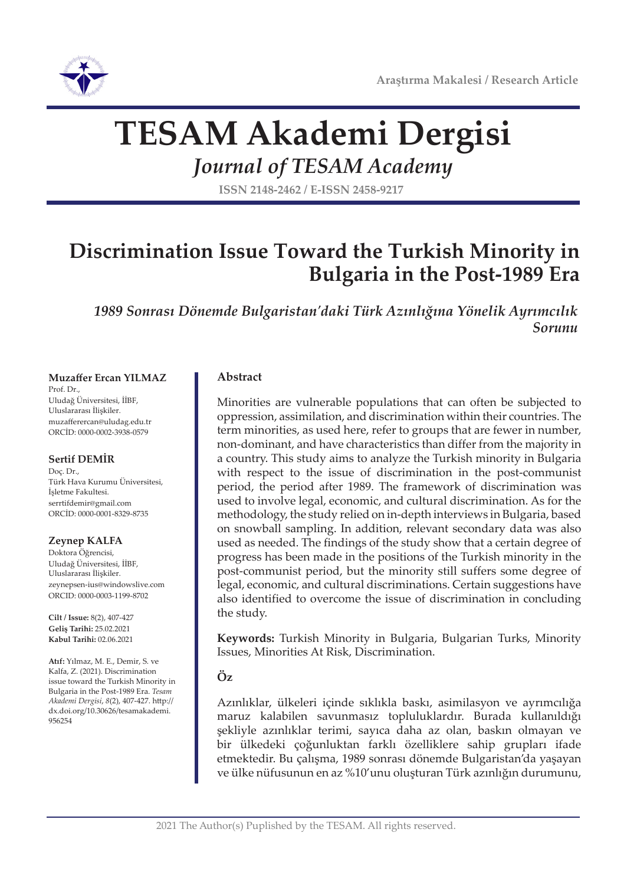

# **TESAM Akademi Dergisi**

*Journal of TESAM Academy*

**ISSN 2148-2462 / E-ISSN 2458-9217**

## **Discrimination Issue Toward the Turkish Minority in Bulgaria in the Post-1989 Era**

*1989 Sonrası Dönemde Bulgaristan'daki Türk Azınlığına Yönelik Ayrımcılık Sorunu*

#### **Muzaffer Ercan YILMAZ**

Prof. Dr., Uludağ Üniversitesi, İİBF, Uluslararası İlişkiler. muzafferercan@uludag.edu.tr ORCİD: 0000-0002-3938-0579

#### **Sertif DEMİR**

Doç. Dr., Türk Hava Kurumu Üniversitesi, İşletme Fakultesi. serrtifdemir@gmail.com ORCİD: 0000-0001-8329-8735

#### **Zeynep KALFA**

Doktora Öğrencisi, Uludağ Üniversitesi, İİBF, Uluslararası İlişkiler. zeynepsen-ius@windowslive.com ORCID: 0000-0003-1199-8702

**Cilt / Issue:** 8(2), 407-427 **Geliş Tarihi:** 25.02.2021 **Kabul Tarihi:** 02.06.2021

**Atıf:** Yılmaz, M. E., Demir, S. ve Kalfa, Z. (2021). Discrimination issue toward the Turkish Minority in Bulgaria in the Post-1989 Era. *Tesam Akademi Dergisi*, *8*(2), 407-427. http:// dx.doi.org/10.30626/tesamakademi. 956254

#### **Abstract**

Minorities are vulnerable populations that can often be subjected to oppression, assimilation, and discrimination within their countries. The term minorities, as used here, refer to groups that are fewer in number, non-dominant, and have characteristics than differ from the majority in a country. This study aims to analyze the Turkish minority in Bulgaria with respect to the issue of discrimination in the post-communist period, the period after 1989. The framework of discrimination was used to involve legal, economic, and cultural discrimination. As for the methodology, the study relied on in-depth interviews in Bulgaria, based on snowball sampling. In addition, relevant secondary data was also used as needed. The findings of the study show that a certain degree of progress has been made in the positions of the Turkish minority in the post-communist period, but the minority still suffers some degree of legal, economic, and cultural discriminations. Certain suggestions have also identified to overcome the issue of discrimination in concluding the study.

**Keywords:** Turkish Minority in Bulgaria, Bulgarian Turks, Minority Issues, Minorities At Risk, Discrimination.

#### **Öz**

Azınlıklar, ülkeleri içinde sıklıkla baskı, asimilasyon ve ayrımcılığa maruz kalabilen savunmasız topluluklardır. Burada kullanıldığı şekliyle azınlıklar terimi, sayıca daha az olan, baskın olmayan ve bir ülkedeki çoğunluktan farklı özelliklere sahip grupları ifade etmektedir. Bu çalışma, 1989 sonrası dönemde Bulgaristan'da yaşayan ve ülke nüfusunun en az %10'unu oluşturan Türk azınlığın durumunu,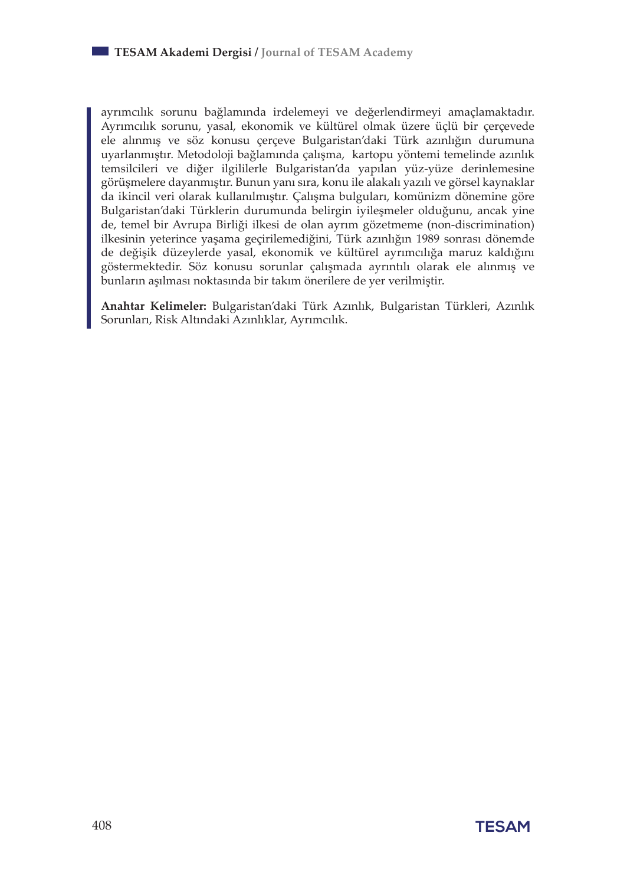ayrımcılık sorunu bağlamında irdelemeyi ve değerlendirmeyi amaçlamaktadır. Ayrımcılık sorunu, yasal, ekonomik ve kültürel olmak üzere üçlü bir çerçevede ele alınmış ve söz konusu çerçeve Bulgaristan'daki Türk azınlığın durumuna uyarlanmıştır. Metodoloji bağlamında çalışma, kartopu yöntemi temelinde azınlık temsilcileri ve diğer ilgililerle Bulgaristan'da yapılan yüz-yüze derinlemesine görüşmelere dayanmıştır. Bunun yanı sıra, konu ile alakalı yazılı ve görsel kaynaklar da ikincil veri olarak kullanılmıştır. Çalışma bulguları, komünizm dönemine göre Bulgaristan'daki Türklerin durumunda belirgin iyileşmeler olduğunu, ancak yine de, temel bir Avrupa Birliği ilkesi de olan ayrım gözetmeme (non-discrimination) ilkesinin yeterince yaşama geçirilemediğini, Türk azınlığın 1989 sonrası dönemde de değişik düzeylerde yasal, ekonomik ve kültürel ayrımcılığa maruz kaldığını göstermektedir. Söz konusu sorunlar çalışmada ayrıntılı olarak ele alınmış ve bunların aşılması noktasında bir takım önerilere de yer verilmiştir.

**Anahtar Kelimeler:** Bulgaristan'daki Türk Azınlık, Bulgaristan Türkleri, Azınlık Sorunları, Risk Altındaki Azınlıklar, Ayrımcılık.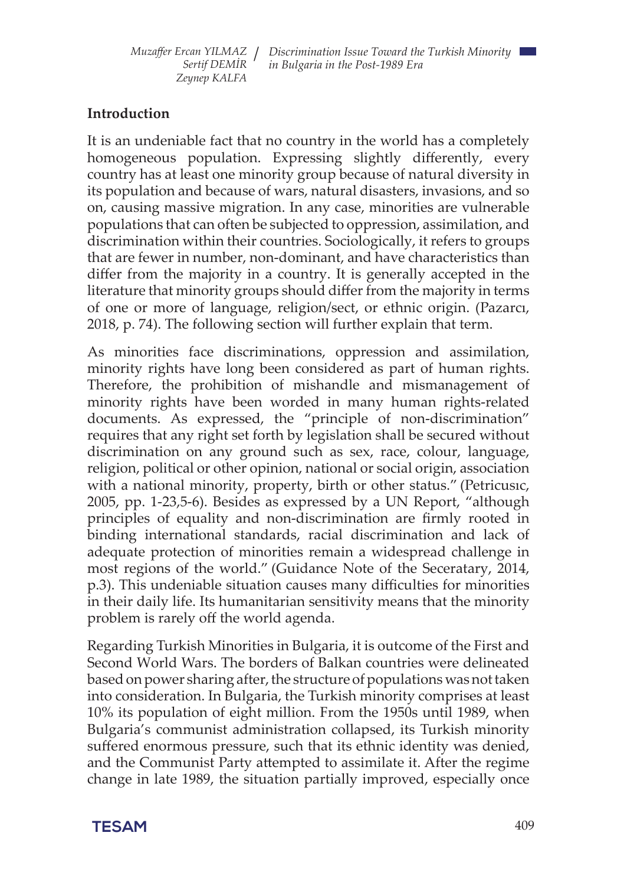#### **Introduction**

It is an undeniable fact that no country in the world has a completely homogeneous population. Expressing slightly differently, every country has at least one minority group because of natural diversity in its population and because of wars, natural disasters, invasions, and so on, causing massive migration. In any case, minorities are vulnerable populations that can often be subjected to oppression, assimilation, and discrimination within their countries. Sociologically, it refers to groups that are fewer in number, non-dominant, and have characteristics than differ from the majority in a country. It is generally accepted in the literature that minority groups should differ from the majority in terms of one or more of language, religion/sect, or ethnic origin. (Pazarcı, 2018, p. 74). The following section will further explain that term.

As minorities face discriminations, oppression and assimilation, minority rights have long been considered as part of human rights. Therefore, the prohibition of mishandle and mismanagement of minority rights have been worded in many human rights-related documents. As expressed, the "principle of non-discrimination" requires that any right set forth by legislation shall be secured without discrimination on any ground such as sex, race, colour, language, religion, political or other opinion, national or social origin, association with a national minority, property, birth or other status." (Petricusıc, 2005, pp. 1-23,5-6). Besides as expressed by a UN Report, "although principles of equality and non-discrimination are firmly rooted in binding international standards, racial discrimination and lack of adequate protection of minorities remain a widespread challenge in most regions of the world." (Guidance Note of the Seceratary, 2014, p.3). This undeniable situation causes many difficulties for minorities in their daily life. Its humanitarian sensitivity means that the minority problem is rarely off the world agenda.

Regarding Turkish Minorities in Bulgaria, it is outcome of the First and Second World Wars. The borders of Balkan countries were delineated based on power sharing after, the structure of populations was not taken into consideration. In Bulgaria, the Turkish minority comprises at least 10% its population of eight million. From the 1950s until 1989, when Bulgaria's communist administration collapsed, its Turkish minority suffered enormous pressure, such that its ethnic identity was denied, and the Communist Party attempted to assimilate it. After the regime change in late 1989, the situation partially improved, especially once

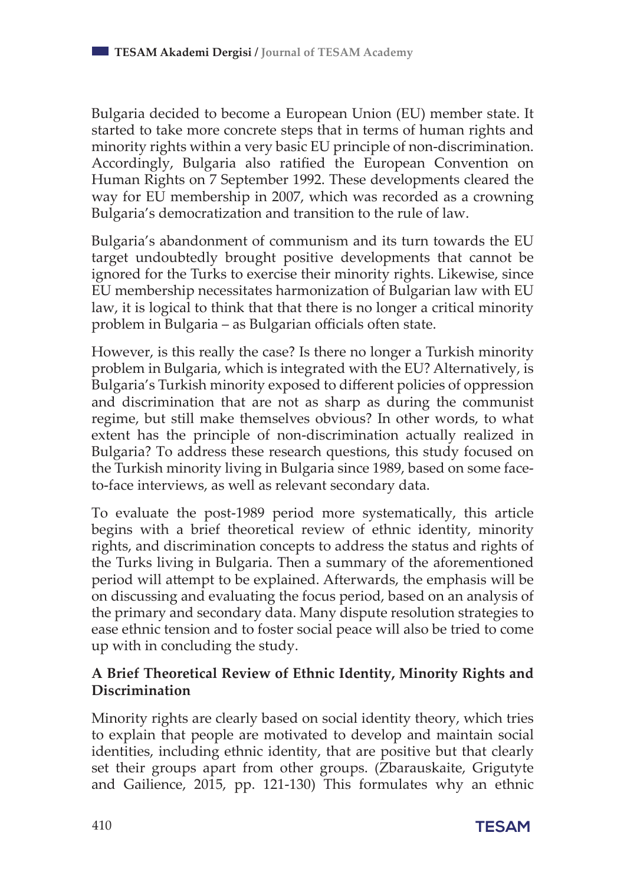Bulgaria decided to become a European Union (EU) member state. It started to take more concrete steps that in terms of human rights and minority rights within a very basic EU principle of non-discrimination. Accordingly, Bulgaria also ratified the European Convention on Human Rights on 7 September 1992. These developments cleared the way for EU membership in 2007, which was recorded as a crowning Bulgaria's democratization and transition to the rule of law.

Bulgaria's abandonment of communism and its turn towards the EU target undoubtedly brought positive developments that cannot be ignored for the Turks to exercise their minority rights. Likewise, since EU membership necessitates harmonization of Bulgarian law with EU law, it is logical to think that that there is no longer a critical minority problem in Bulgaria – as Bulgarian officials often state.

However, is this really the case? Is there no longer a Turkish minority problem in Bulgaria, which is integrated with the EU? Alternatively, is Bulgaria's Turkish minority exposed to different policies of oppression and discrimination that are not as sharp as during the communist regime, but still make themselves obvious? In other words, to what extent has the principle of non-discrimination actually realized in Bulgaria? To address these research questions, this study focused on the Turkish minority living in Bulgaria since 1989, based on some faceto-face interviews, as well as relevant secondary data.

To evaluate the post-1989 period more systematically, this article begins with a brief theoretical review of ethnic identity, minority rights, and discrimination concepts to address the status and rights of the Turks living in Bulgaria. Then a summary of the aforementioned period will attempt to be explained. Afterwards, the emphasis will be on discussing and evaluating the focus period, based on an analysis of the primary and secondary data. Many dispute resolution strategies to ease ethnic tension and to foster social peace will also be tried to come up with in concluding the study.

## **A Brief Theoretical Review of Ethnic Identity, Minority Rights and Discrimination**

Minority rights are clearly based on social identity theory, which tries to explain that people are motivated to develop and maintain social identities, including ethnic identity, that are positive but that clearly set their groups apart from other groups. (Zbarauskaite, Grigutyte and Gailience, 2015, pp. 121-130) This formulates why an ethnic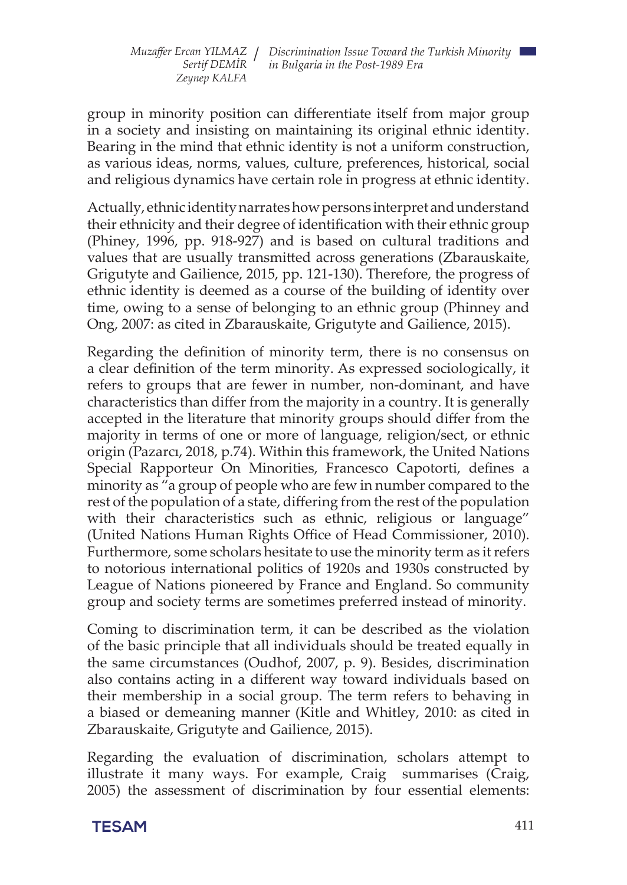group in minority position can differentiate itself from major group in a society and insisting on maintaining its original ethnic identity. Bearing in the mind that ethnic identity is not a uniform construction, as various ideas, norms, values, culture, preferences, historical, social and religious dynamics have certain role in progress at ethnic identity.

Actually, ethnic identity narrates how persons interpret and understand their ethnicity and their degree of identification with their ethnic group (Phiney, 1996, pp. 918-927) and is based on cultural traditions and values that are usually transmitted across generations (Zbarauskaite, Grigutyte and Gailience, 2015, pp. 121-130). Therefore, the progress of ethnic identity is deemed as a course of the building of identity over time, owing to a sense of belonging to an ethnic group (Phinney and Ong, 2007: as cited in Zbarauskaite, Grigutyte and Gailience, 2015).

Regarding the definition of minority term, there is no consensus on a clear definition of the term minority. As expressed sociologically, it refers to groups that are fewer in number, non-dominant, and have characteristics than differ from the majority in a country. It is generally accepted in the literature that minority groups should differ from the majority in terms of one or more of language, religion/sect, or ethnic origin (Pazarcı, 2018, p.74). Within this framework, the United Nations Special Rapporteur On Minorities, Francesco Capotorti, defines a minority as "a group of people who are few in number compared to the rest of the population of a state, differing from the rest of the population with their characteristics such as ethnic, religious or language" (United Nations Human Rights Office of Head Commissioner, 2010). Furthermore, some scholars hesitate to use the minority term as it refers to notorious international politics of 1920s and 1930s constructed by League of Nations pioneered by France and England. So community group and society terms are sometimes preferred instead of minority.

Coming to discrimination term, it can be described as the violation of the basic principle that all individuals should be treated equally in the same circumstances (Oudhof, 2007, p. 9). Besides, discrimination also contains acting in a different way toward individuals based on their membership in a social group. The term refers to behaving in a biased or demeaning manner (Kitle and Whitley, 2010: as cited in Zbarauskaite, Grigutyte and Gailience, 2015).

Regarding the evaluation of discrimination, scholars attempt to illustrate it many ways. For example, Craig summarises (Craig, 2005) the assessment of discrimination by four essential elements:

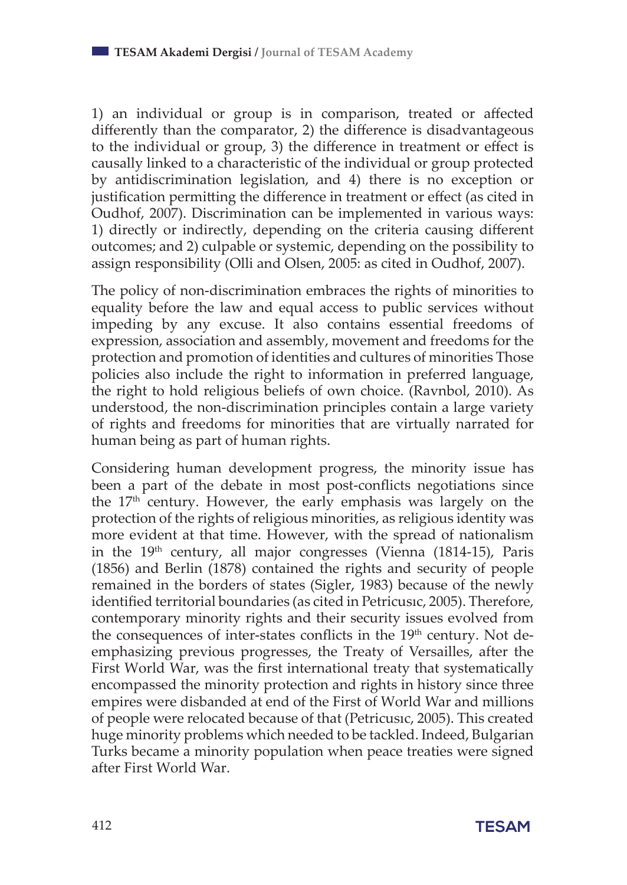1) an individual or group is in comparison, treated or affected differently than the comparator, 2) the difference is disadvantageous to the individual or group, 3) the difference in treatment or effect is causally linked to a characteristic of the individual or group protected by antidiscrimination legislation, and 4) there is no exception or justification permitting the difference in treatment or effect (as cited in Oudhof, 2007). Discrimination can be implemented in various ways: 1) directly or indirectly, depending on the criteria causing different outcomes; and 2) culpable or systemic, depending on the possibility to assign responsibility (Olli and Olsen, 2005: as cited in Oudhof, 2007).

The policy of non-discrimination embraces the rights of minorities to equality before the law and equal access to public services without impeding by any excuse. It also contains essential freedoms of expression, association and assembly, movement and freedoms for the protection and promotion of identities and cultures of minorities Those policies also include the right to information in preferred language, the right to hold religious beliefs of own choice. (Ravnbol, 2010). As understood, the non-discrimination principles contain a large variety of rights and freedoms for minorities that are virtually narrated for human being as part of human rights.

Considering human development progress, the minority issue has been a part of the debate in most post-conflicts negotiations since the  $17<sup>th</sup>$  century. However, the early emphasis was largely on the protection of the rights of religious minorities, as religious identity was more evident at that time. However, with the spread of nationalism in the 19<sup>th</sup> century, all major congresses (Vienna (1814-15), Paris (1856) and Berlin (1878) contained the rights and security of people remained in the borders of states (Sigler, 1983) because of the newly identified territorial boundaries (as cited in Petricusıc, 2005). Therefore, contemporary minority rights and their security issues evolved from the consequences of inter-states conflicts in the 19<sup>th</sup> century. Not deemphasizing previous progresses, the Treaty of Versailles, after the First World War, was the first international treaty that systematically encompassed the minority protection and rights in history since three empires were disbanded at end of the First of World War and millions of people were relocated because of that (Petricusıc, 2005). This created huge minority problems which needed to be tackled. Indeed, Bulgarian Turks became a minority population when peace treaties were signed after First World War.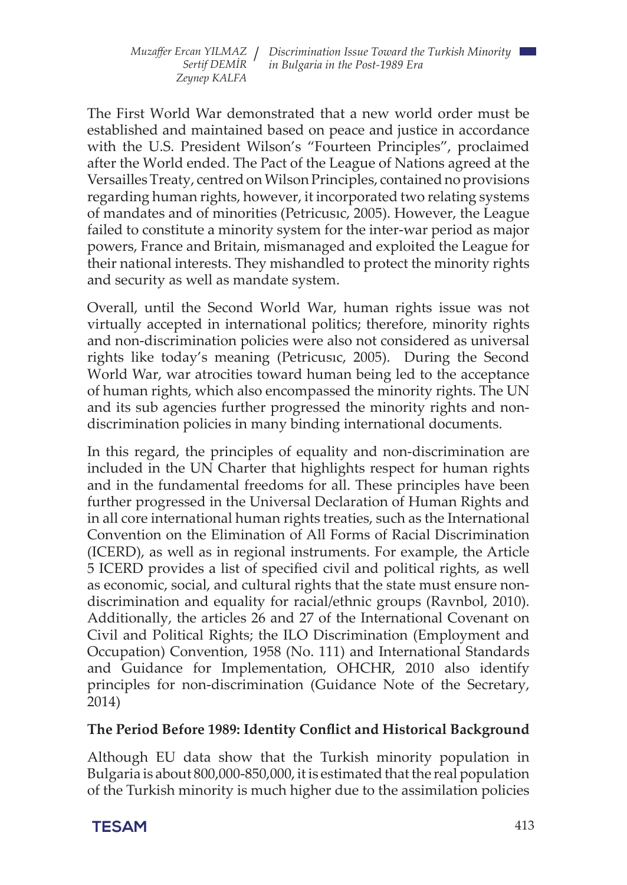The First World War demonstrated that a new world order must be established and maintained based on peace and justice in accordance with the U.S. President Wilson's "Fourteen Principles", proclaimed after the World ended. The Pact of the League of Nations agreed at the Versailles Treaty, centred on Wilson Principles, contained no provisions regarding human rights, however, it incorporated two relating systems of mandates and of minorities (Petricusıc, 2005). However, the League failed to constitute a minority system for the inter-war period as major powers, France and Britain, mismanaged and exploited the League for their national interests. They mishandled to protect the minority rights and security as well as mandate system.

Overall, until the Second World War, human rights issue was not virtually accepted in international politics; therefore, minority rights and non-discrimination policies were also not considered as universal rights like today's meaning (Petricusıc, 2005). During the Second World War, war atrocities toward human being led to the acceptance of human rights, which also encompassed the minority rights. The UN and its sub agencies further progressed the minority rights and nondiscrimination policies in many binding international documents.

In this regard, the principles of equality and non-discrimination are included in the UN Charter that highlights respect for human rights and in the fundamental freedoms for all. These principles have been further progressed in the Universal Declaration of Human Rights and in all core international human rights treaties, such as the International Convention on the Elimination of All Forms of Racial Discrimination (ICERD), as well as in regional instruments. For example, the Article 5 ICERD provides a list of specified civil and political rights, as well as economic, social, and cultural rights that the state must ensure nondiscrimination and equality for racial/ethnic groups (Ravnbol, 2010). Additionally, the articles 26 and 27 of the International Covenant on Civil and Political Rights; the ILO Discrimination (Employment and Occupation) Convention, 1958 (No. 111) and International Standards and Guidance for Implementation, OHCHR, 2010 also identify principles for non-discrimination (Guidance Note of the Secretary, 2014)

#### **The Period Before 1989: Identity Conflict and Historical Background**

Although EU data show that the Turkish minority population in Bulgaria is about 800,000-850,000, it is estimated that the real population of the Turkish minority is much higher due to the assimilation policies

**TESAM** 413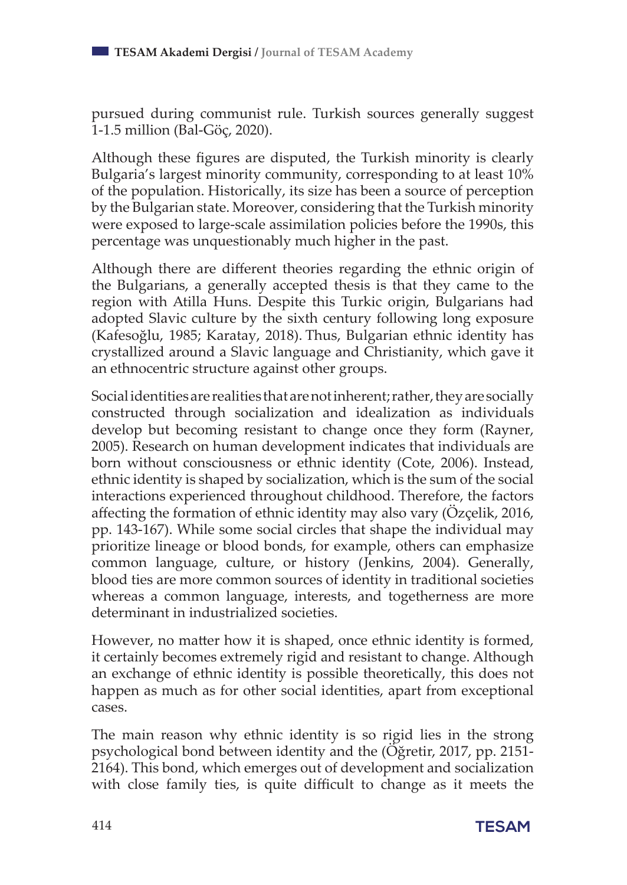pursued during communist rule. Turkish sources generally suggest 1-1.5 million (Bal-Göç, 2020).

Although these figures are disputed, the Turkish minority is clearly Bulgaria's largest minority community, corresponding to at least 10% of the population. Historically, its size has been a source of perception by the Bulgarian state. Moreover, considering that the Turkish minority were exposed to large-scale assimilation policies before the 1990s, this percentage was unquestionably much higher in the past.

Although there are different theories regarding the ethnic origin of the Bulgarians, a generally accepted thesis is that they came to the region with Atilla Huns. Despite this Turkic origin, Bulgarians had adopted Slavic culture by the sixth century following long exposure (Kafesoğlu, 1985; Karatay, 2018). Thus, Bulgarian ethnic identity has crystallized around a Slavic language and Christianity, which gave it an ethnocentric structure against other groups.

Social identities are realities that are not inherent; rather, they are socially constructed through socialization and idealization as individuals develop but becoming resistant to change once they form (Rayner, 2005). Research on human development indicates that individuals are born without consciousness or ethnic identity (Cote, 2006). Instead, ethnic identity is shaped by socialization, which is the sum of the social interactions experienced throughout childhood. Therefore, the factors affecting the formation of ethnic identity may also vary (Özçelik, 2016, pp. 143-167). While some social circles that shape the individual may prioritize lineage or blood bonds, for example, others can emphasize common language, culture, or history (Jenkins, 2004). Generally, blood ties are more common sources of identity in traditional societies whereas a common language, interests, and togetherness are more determinant in industrialized societies.

However, no matter how it is shaped, once ethnic identity is formed, it certainly becomes extremely rigid and resistant to change. Although an exchange of ethnic identity is possible theoretically, this does not happen as much as for other social identities, apart from exceptional cases.

The main reason why ethnic identity is so rigid lies in the strong psychological bond between identity and the (Öğretir, 2017, pp. 2151- 2164). This bond, which emerges out of development and socialization with close family ties, is quite difficult to change as it meets the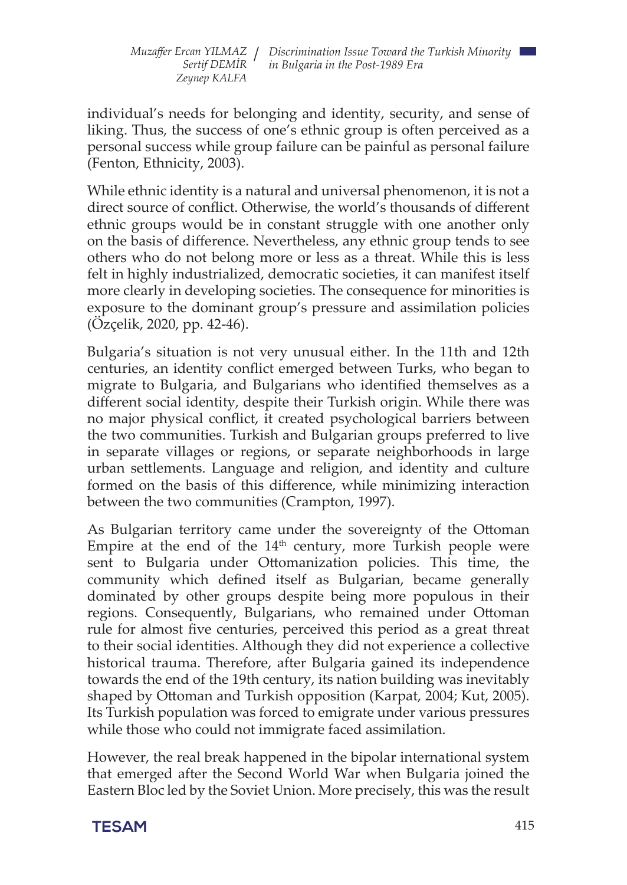individual's needs for belonging and identity, security, and sense of liking. Thus, the success of one's ethnic group is often perceived as a personal success while group failure can be painful as personal failure (Fenton, Ethnicity, 2003).

While ethnic identity is a natural and universal phenomenon, it is not a direct source of conflict. Otherwise, the world's thousands of different ethnic groups would be in constant struggle with one another only on the basis of difference. Nevertheless, any ethnic group tends to see others who do not belong more or less as a threat. While this is less felt in highly industrialized, democratic societies, it can manifest itself more clearly in developing societies. The consequence for minorities is exposure to the dominant group's pressure and assimilation policies (Özçelik, 2020, pp. 42-46).

Bulgaria's situation is not very unusual either. In the 11th and 12th centuries, an identity conflict emerged between Turks, who began to migrate to Bulgaria, and Bulgarians who identified themselves as a different social identity, despite their Turkish origin. While there was no major physical conflict, it created psychological barriers between the two communities. Turkish and Bulgarian groups preferred to live in separate villages or regions, or separate neighborhoods in large urban settlements. Language and religion, and identity and culture formed on the basis of this difference, while minimizing interaction between the two communities (Crampton, 1997).

As Bulgarian territory came under the sovereignty of the Ottoman Empire at the end of the  $14<sup>th</sup>$  century, more Turkish people were sent to Bulgaria under Ottomanization policies. This time, the community which defined itself as Bulgarian, became generally dominated by other groups despite being more populous in their regions. Consequently, Bulgarians, who remained under Ottoman rule for almost five centuries, perceived this period as a great threat to their social identities. Although they did not experience a collective historical trauma. Therefore, after Bulgaria gained its independence towards the end of the 19th century, its nation building was inevitably shaped by Ottoman and Turkish opposition (Karpat, 2004; Kut, 2005). Its Turkish population was forced to emigrate under various pressures while those who could not immigrate faced assimilation.

However, the real break happened in the bipolar international system that emerged after the Second World War when Bulgaria joined the Eastern Bloc led by the Soviet Union. More precisely, this was the result

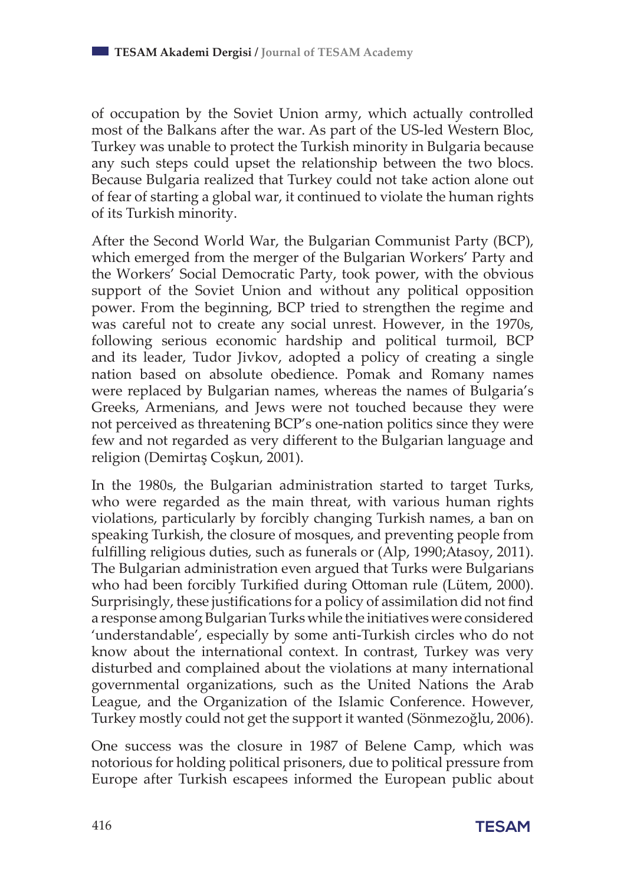of occupation by the Soviet Union army, which actually controlled most of the Balkans after the war. As part of the US-led Western Bloc, Turkey was unable to protect the Turkish minority in Bulgaria because any such steps could upset the relationship between the two blocs. Because Bulgaria realized that Turkey could not take action alone out of fear of starting a global war, it continued to violate the human rights of its Turkish minority.

After the Second World War, the Bulgarian Communist Party (BCP), which emerged from the merger of the Bulgarian Workers' Party and the Workers' Social Democratic Party, took power, with the obvious support of the Soviet Union and without any political opposition power. From the beginning, BCP tried to strengthen the regime and was careful not to create any social unrest. However, in the 1970s, following serious economic hardship and political turmoil, BCP and its leader, Tudor Jivkov, adopted a policy of creating a single nation based on absolute obedience. Pomak and Romany names were replaced by Bulgarian names, whereas the names of Bulgaria's Greeks, Armenians, and Jews were not touched because they were not perceived as threatening BCP's one-nation politics since they were few and not regarded as very different to the Bulgarian language and religion (Demirtaş Coşkun, 2001).

In the 1980s, the Bulgarian administration started to target Turks, who were regarded as the main threat, with various human rights violations, particularly by forcibly changing Turkish names, a ban on speaking Turkish, the closure of mosques, and preventing people from fulfilling religious duties, such as funerals or (Alp, 1990;Atasoy, 2011). The Bulgarian administration even argued that Turks were Bulgarians who had been forcibly Turkified during Ottoman rule (Lütem, 2000). Surprisingly, these justifications for a policy of assimilation did not find a response among Bulgarian Turks while the initiatives were considered 'understandable', especially by some anti-Turkish circles who do not know about the international context. In contrast, Turkey was very disturbed and complained about the violations at many international governmental organizations, such as the United Nations the Arab League, and the Organization of the Islamic Conference. However, Turkey mostly could not get the support it wanted (Sönmezoğlu, 2006).

One success was the closure in 1987 of Belene Camp, which was notorious for holding political prisoners, due to political pressure from Europe after Turkish escapees informed the European public about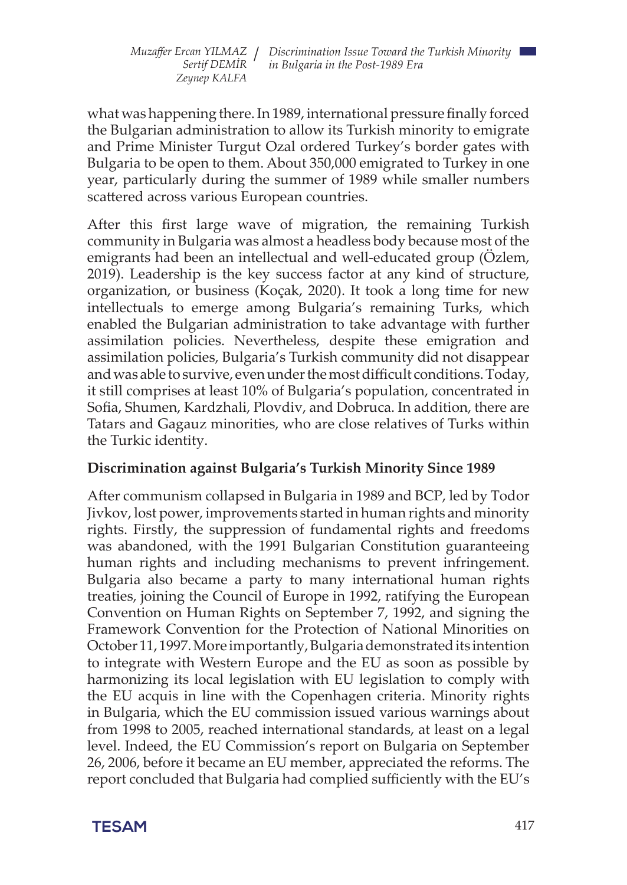what was happening there. In 1989, international pressure finally forced the Bulgarian administration to allow its Turkish minority to emigrate and Prime Minister Turgut Ozal ordered Turkey's border gates with Bulgaria to be open to them. About 350,000 emigrated to Turkey in one year, particularly during the summer of 1989 while smaller numbers scattered across various European countries.

After this first large wave of migration, the remaining Turkish community in Bulgaria was almost a headless body because most of the emigrants had been an intellectual and well-educated group (Özlem, 2019). Leadership is the key success factor at any kind of structure, organization, or business (Koçak, 2020). It took a long time for new intellectuals to emerge among Bulgaria's remaining Turks, which enabled the Bulgarian administration to take advantage with further assimilation policies. Nevertheless, despite these emigration and assimilation policies, Bulgaria's Turkish community did not disappear and was able to survive, even under the most difficult conditions. Today, it still comprises at least 10% of Bulgaria's population, concentrated in Sofia, Shumen, Kardzhali, Plovdiv, and Dobruca. In addition, there are Tatars and Gagauz minorities, who are close relatives of Turks within the Turkic identity.

## **Discrimination against Bulgaria's Turkish Minority Since 1989**

After communism collapsed in Bulgaria in 1989 and BCP, led by Todor Jivkov, lost power, improvements started in human rights and minority rights. Firstly, the suppression of fundamental rights and freedoms was abandoned, with the 1991 Bulgarian Constitution guaranteeing human rights and including mechanisms to prevent infringement. Bulgaria also became a party to many international human rights treaties, joining the Council of Europe in 1992, ratifying the European Convention on Human Rights on September 7, 1992, and signing the Framework Convention for the Protection of National Minorities on October 11, 1997. More importantly, Bulgaria demonstrated its intention to integrate with Western Europe and the EU as soon as possible by harmonizing its local legislation with EU legislation to comply with the EU acquis in line with the Copenhagen criteria. Minority rights in Bulgaria, which the EU commission issued various warnings about from 1998 to 2005, reached international standards, at least on a legal level. Indeed, the EU Commission's report on Bulgaria on September 26, 2006, before it became an EU member, appreciated the reforms. The report concluded that Bulgaria had complied sufficiently with the EU's

**TESAM** 417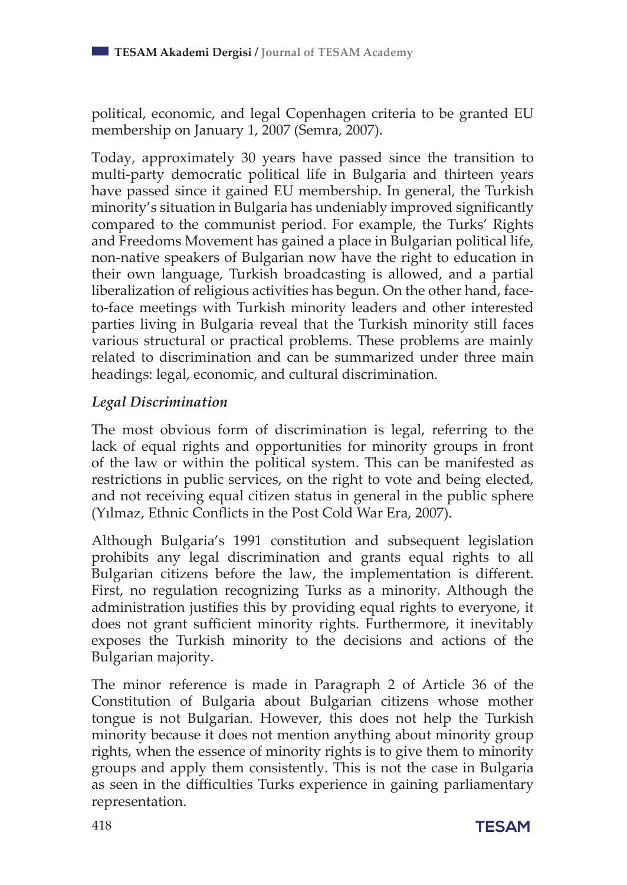political, economic, and legal Copenhagen criteria to be granted EU membership on January 1, 2007 (Semra, 2007).

Today, approximately 30 years have passed since the transition to multi-party democratic political life in Bulgaria and thirteen years have passed since it gained EU membership. In general, the Turkish minority's situation in Bulgaria has undeniably improved significantly compared to the communist period. For example, the Turks' Rights and Freedoms Movement has gained a place in Bulgarian political life, non-native speakers of Bulgarian now have the right to education in their own language, Turkish broadcasting is allowed, and a partial liberalization of religious activities has begun. On the other hand, faceto-face meetings with Turkish minority leaders and other interested parties living in Bulgaria reveal that the Turkish minority still faces various structural or practical problems. These problems are mainly related to discrimination and can be summarized under three main headings: legal, economic, and cultural discrimination.

#### *Legal Discrimination*

The most obvious form of discrimination is legal, referring to the lack of equal rights and opportunities for minority groups in front of the law or within the political system. This can be manifested as restrictions in public services, on the right to vote and being elected, and not receiving equal citizen status in general in the public sphere (Yılmaz, Ethnic Conflicts in the Post Cold War Era, 2007).

Although Bulgaria's 1991 constitution and subsequent legislation prohibits any legal discrimination and grants equal rights to all Bulgarian citizens before the law, the implementation is different. First, no regulation recognizing Turks as a minority. Although the administration justifies this by providing equal rights to everyone, it does not grant sufficient minority rights. Furthermore, it inevitably exposes the Turkish minority to the decisions and actions of the Bulgarian majority.

The minor reference is made in Paragraph 2 of Article 36 of the Constitution of Bulgaria about Bulgarian citizens whose mother tongue is not Bulgarian. However, this does not help the Turkish minority because it does not mention anything about minority group rights, when the essence of minority rights is to give them to minority groups and apply them consistently. This is not the case in Bulgaria as seen in the difficulties Turks experience in gaining parliamentary representation.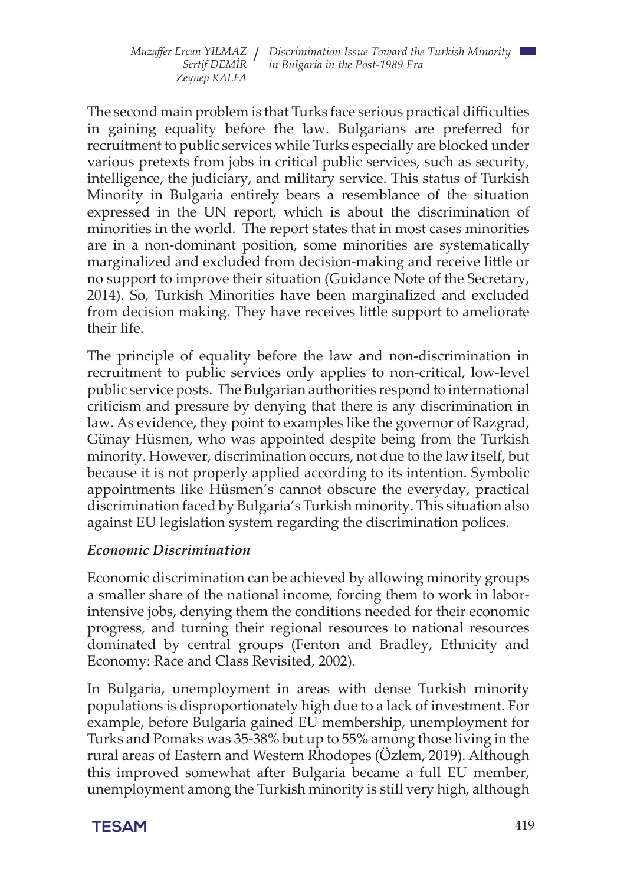The second main problem is that Turks face serious practical difficulties in gaining equality before the law. Bulgarians are preferred for recruitment to public services while Turks especially are blocked under various pretexts from jobs in critical public services, such as security, intelligence, the judiciary, and military service. This status of Turkish Minority in Bulgaria entirely bears a resemblance of the situation expressed in the UN report, which is about the discrimination of minorities in the world. The report states that in most cases minorities are in a non-dominant position, some minorities are systematically marginalized and excluded from decision-making and receive little or no support to improve their situation (Guidance Note of the Secretary, 2014). So, Turkish Minorities have been marginalized and excluded from decision making. They have receives little support to ameliorate their life.

The principle of equality before the law and non-discrimination in recruitment to public services only applies to non-critical, low-level public service posts. The Bulgarian authorities respond to international criticism and pressure by denying that there is any discrimination in law. As evidence, they point to examples like the governor of Razgrad, Günay Hüsmen, who was appointed despite being from the Turkish minority. However, discrimination occurs, not due to the law itself, but because it is not properly applied according to its intention. Symbolic appointments like Hüsmen's cannot obscure the everyday, practical discrimination faced by Bulgaria's Turkish minority. This situation also against EU legislation system regarding the discrimination polices.

#### *Economic Discrimination*

Economic discrimination can be achieved by allowing minority groups a smaller share of the national income, forcing them to work in laborintensive jobs, denying them the conditions needed for their economic progress, and turning their regional resources to national resources dominated by central groups (Fenton and Bradley, Ethnicity and Economy: Race and Class Revisited, 2002).

In Bulgaria, unemployment in areas with dense Turkish minority populations is disproportionately high due to a lack of investment. For example, before Bulgaria gained EU membership, unemployment for Turks and Pomaks was 35-38% but up to 55% among those living in the rural areas of Eastern and Western Rhodopes (Özlem, 2019). Although this improved somewhat after Bulgaria became a full EU member, unemployment among the Turkish minority is still very high, although

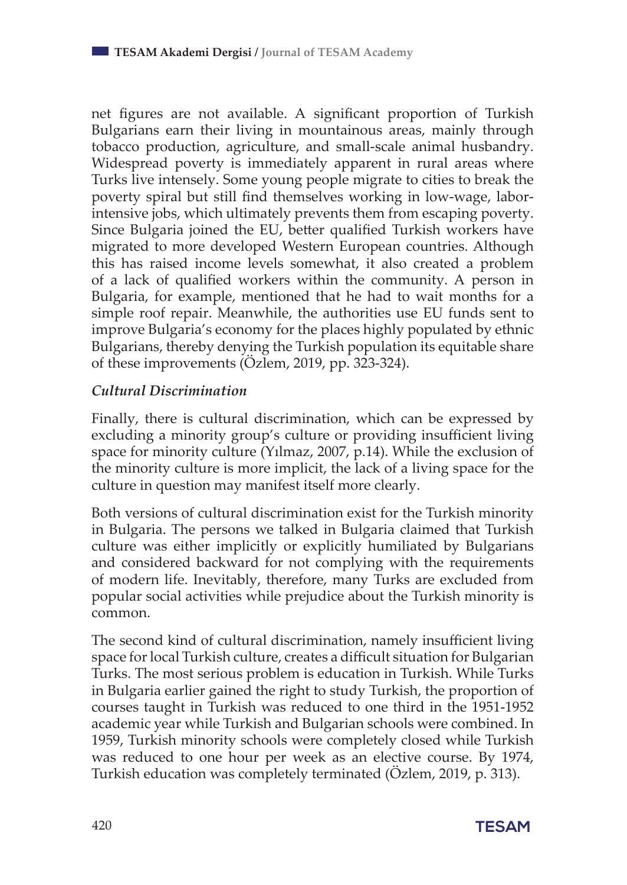net figures are not available. A significant proportion of Turkish Bulgarians earn their living in mountainous areas, mainly through tobacco production, agriculture, and small-scale animal husbandry. Widespread poverty is immediately apparent in rural areas where Turks live intensely. Some young people migrate to cities to break the poverty spiral but still find themselves working in low-wage, laborintensive jobs, which ultimately prevents them from escaping poverty. Since Bulgaria joined the EU, better qualified Turkish workers have migrated to more developed Western European countries. Although this has raised income levels somewhat, it also created a problem of a lack of qualified workers within the community. A person in Bulgaria, for example, mentioned that he had to wait months for a simple roof repair. Meanwhile, the authorities use EU funds sent to improve Bulgaria's economy for the places highly populated by ethnic Bulgarians, thereby denying the Turkish population its equitable share of these improvements (Özlem, 2019, pp. 323-324).

## *Cultural Discrimination*

Finally, there is cultural discrimination, which can be expressed by excluding a minority group's culture or providing insufficient living space for minority culture (Yılmaz, 2007, p.14). While the exclusion of the minority culture is more implicit, the lack of a living space for the culture in question may manifest itself more clearly.

Both versions of cultural discrimination exist for the Turkish minority in Bulgaria. The persons we talked in Bulgaria claimed that Turkish culture was either implicitly or explicitly humiliated by Bulgarians and considered backward for not complying with the requirements of modern life. Inevitably, therefore, many Turks are excluded from popular social activities while prejudice about the Turkish minority is common.

The second kind of cultural discrimination, namely insufficient living space for local Turkish culture, creates a difficult situation for Bulgarian Turks. The most serious problem is education in Turkish. While Turks in Bulgaria earlier gained the right to study Turkish, the proportion of courses taught in Turkish was reduced to one third in the 1951-1952 academic year while Turkish and Bulgarian schools were combined. In 1959, Turkish minority schools were completely closed while Turkish was reduced to one hour per week as an elective course. By 1974, Turkish education was completely terminated (Özlem, 2019, p. 313).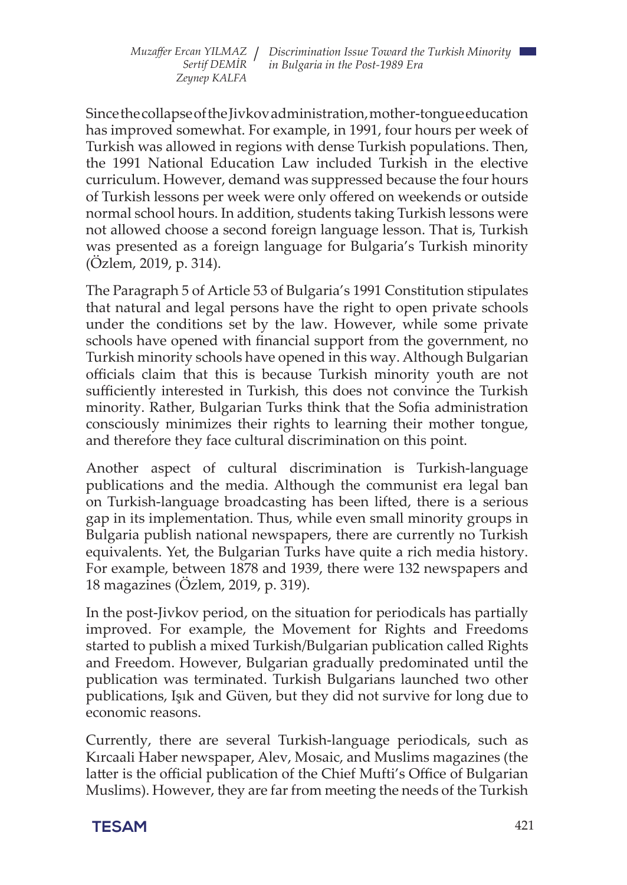Since the collapse of the Jivkov administration, mother-tongue education has improved somewhat. For example, in 1991, four hours per week of Turkish was allowed in regions with dense Turkish populations. Then, the 1991 National Education Law included Turkish in the elective curriculum. However, demand was suppressed because the four hours of Turkish lessons per week were only offered on weekends or outside normal school hours. In addition, students taking Turkish lessons were not allowed choose a second foreign language lesson. That is, Turkish was presented as a foreign language for Bulgaria's Turkish minority (Özlem, 2019, p. 314).

The Paragraph 5 of Article 53 of Bulgaria's 1991 Constitution stipulates that natural and legal persons have the right to open private schools under the conditions set by the law. However, while some private schools have opened with financial support from the government, no Turkish minority schools have opened in this way. Although Bulgarian officials claim that this is because Turkish minority youth are not sufficiently interested in Turkish, this does not convince the Turkish minority. Rather, Bulgarian Turks think that the Sofia administration consciously minimizes their rights to learning their mother tongue, and therefore they face cultural discrimination on this point.

Another aspect of cultural discrimination is Turkish-language publications and the media. Although the communist era legal ban on Turkish-language broadcasting has been lifted, there is a serious gap in its implementation. Thus, while even small minority groups in Bulgaria publish national newspapers, there are currently no Turkish equivalents. Yet, the Bulgarian Turks have quite a rich media history. For example, between 1878 and 1939, there were 132 newspapers and 18 magazines (Özlem, 2019, p. 319).

In the post-Jivkov period, on the situation for periodicals has partially improved. For example, the Movement for Rights and Freedoms started to publish a mixed Turkish/Bulgarian publication called Rights and Freedom. However, Bulgarian gradually predominated until the publication was terminated. Turkish Bulgarians launched two other publications, Işık and Güven, but they did not survive for long due to economic reasons.

Currently, there are several Turkish-language periodicals, such as Kırcaali Haber newspaper, Alev, Mosaic, and Muslims magazines (the latter is the official publication of the Chief Mufti's Office of Bulgarian Muslims). However, they are far from meeting the needs of the Turkish

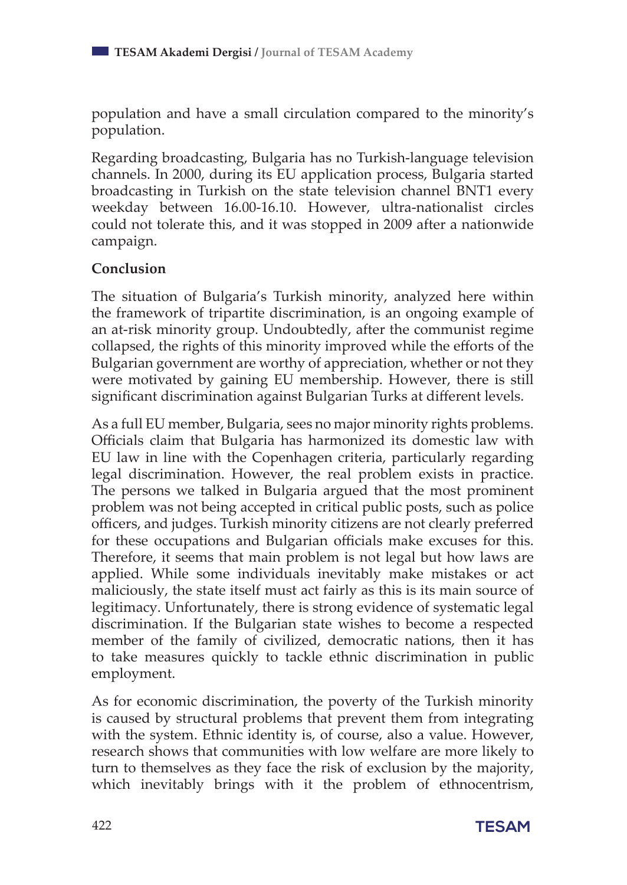population and have a small circulation compared to the minority's population.

Regarding broadcasting, Bulgaria has no Turkish-language television channels. In 2000, during its EU application process, Bulgaria started broadcasting in Turkish on the state television channel BNT1 every weekday between 16.00-16.10. However, ultra-nationalist circles could not tolerate this, and it was stopped in 2009 after a nationwide campaign.

## **Conclusion**

The situation of Bulgaria's Turkish minority, analyzed here within the framework of tripartite discrimination, is an ongoing example of an at-risk minority group. Undoubtedly, after the communist regime collapsed, the rights of this minority improved while the efforts of the Bulgarian government are worthy of appreciation, whether or not they were motivated by gaining EU membership. However, there is still significant discrimination against Bulgarian Turks at different levels.

As a full EU member, Bulgaria, sees no major minority rights problems. Officials claim that Bulgaria has harmonized its domestic law with EU law in line with the Copenhagen criteria, particularly regarding legal discrimination. However, the real problem exists in practice. The persons we talked in Bulgaria argued that the most prominent problem was not being accepted in critical public posts, such as police officers, and judges. Turkish minority citizens are not clearly preferred for these occupations and Bulgarian officials make excuses for this. Therefore, it seems that main problem is not legal but how laws are applied. While some individuals inevitably make mistakes or act maliciously, the state itself must act fairly as this is its main source of legitimacy. Unfortunately, there is strong evidence of systematic legal discrimination. If the Bulgarian state wishes to become a respected member of the family of civilized, democratic nations, then it has to take measures quickly to tackle ethnic discrimination in public employment.

As for economic discrimination, the poverty of the Turkish minority is caused by structural problems that prevent them from integrating with the system. Ethnic identity is, of course, also a value. However, research shows that communities with low welfare are more likely to turn to themselves as they face the risk of exclusion by the majority, which inevitably brings with it the problem of ethnocentrism,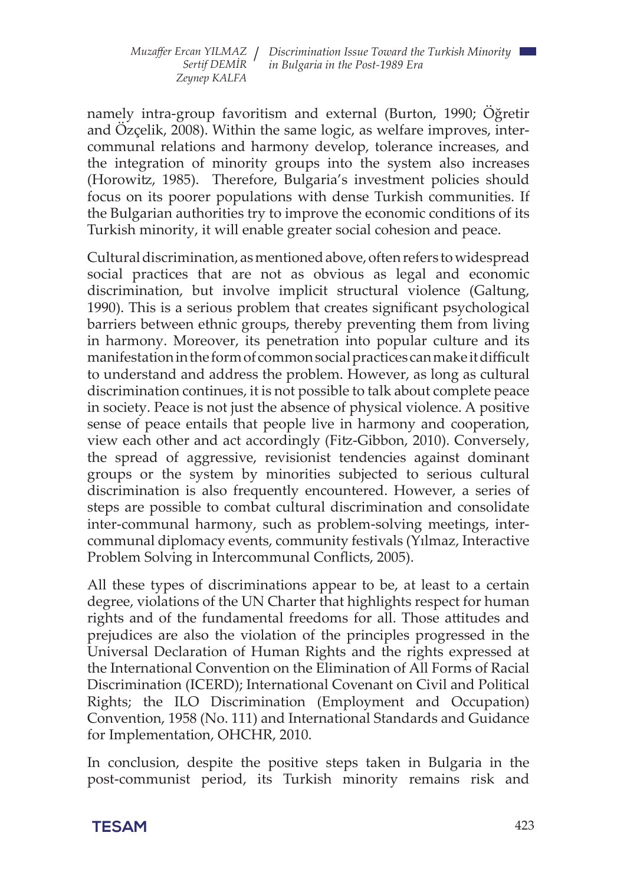namely intra-group favoritism and external (Burton, 1990; Öğretir and Özçelik, 2008). Within the same logic, as welfare improves, intercommunal relations and harmony develop, tolerance increases, and the integration of minority groups into the system also increases (Horowitz, 1985). Therefore, Bulgaria's investment policies should focus on its poorer populations with dense Turkish communities. If the Bulgarian authorities try to improve the economic conditions of its Turkish minority, it will enable greater social cohesion and peace.

Cultural discrimination, as mentioned above, often refers to widespread social practices that are not as obvious as legal and economic discrimination, but involve implicit structural violence (Galtung, 1990). This is a serious problem that creates significant psychological barriers between ethnic groups, thereby preventing them from living in harmony. Moreover, its penetration into popular culture and its manifestation in the form of common social practices can make it difficult to understand and address the problem. However, as long as cultural discrimination continues, it is not possible to talk about complete peace in society. Peace is not just the absence of physical violence. A positive sense of peace entails that people live in harmony and cooperation, view each other and act accordingly (Fitz-Gibbon, 2010). Conversely, the spread of aggressive, revisionist tendencies against dominant groups or the system by minorities subjected to serious cultural discrimination is also frequently encountered. However, a series of steps are possible to combat cultural discrimination and consolidate inter-communal harmony, such as problem-solving meetings, intercommunal diplomacy events, community festivals (Yılmaz, Interactive Problem Solving in Intercommunal Conflicts, 2005).

All these types of discriminations appear to be, at least to a certain degree, violations of the UN Charter that highlights respect for human rights and of the fundamental freedoms for all. Those attitudes and prejudices are also the violation of the principles progressed in the Universal Declaration of Human Rights and the rights expressed at the International Convention on the Elimination of All Forms of Racial Discrimination (ICERD); International Covenant on Civil and Political Rights; the ILO Discrimination (Employment and Occupation) Convention, 1958 (No. 111) and International Standards and Guidance for Implementation, OHCHR, 2010.

In conclusion, despite the positive steps taken in Bulgaria in the post-communist period, its Turkish minority remains risk and

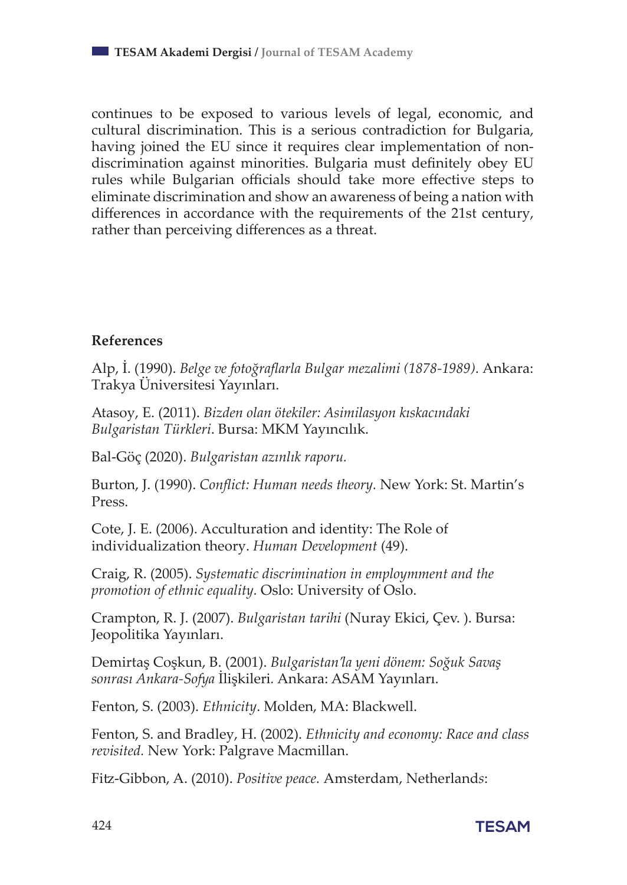continues to be exposed to various levels of legal, economic, and cultural discrimination. This is a serious contradiction for Bulgaria, having joined the EU since it requires clear implementation of nondiscrimination against minorities. Bulgaria must definitely obey EU rules while Bulgarian officials should take more effective steps to eliminate discrimination and show an awareness of being a nation with differences in accordance with the requirements of the 21st century, rather than perceiving differences as a threat.

#### **References**

Alp, İ. (1990). *Belge ve fotoğraflarla Bulgar mezalimi (1878-1989)*. Ankara: Trakya Üniversitesi Yayınları.

Atasoy, E. (2011). *Bizden olan ötekiler: Asimilasyon kıskacındaki Bulgaristan Türkleri*. Bursa: MKM Yayıncılık.

Bal-Göç (2020). *Bulgaristan azınlık raporu.*

Burton, J. (1990). *Conflict: Human needs theory.* New York: St. Martin's Press.

Cote, J. E. (2006). Acculturation and identity: The Role of individualization theory. *Human Development* (49).

Craig, R. (2005). *Systematic discrimination in employmment and the promotion of ethnic equality.* Oslo: University of Oslo.

Crampton, R. J. (2007). *Bulgaristan tarihi* (Nuray Ekici, Çev. ). Bursa: Jeopolitika Yayınları.

Demirtaş Coşkun, B. (2001). *Bulgaristan'la yeni dönem: Soğuk Savaş sonrası Ankara-Sofya* İlişkileri*.* Ankara: ASAM Yayınları.

Fenton, S. (2003). *Ethnicity*. Molden, MA: Blackwell.

Fenton, S. and Bradley, H. (2002). *Ethnicity and economy: Race and class revisited.* New York: Palgrave Macmillan.

Fitz-Gibbon, A. (2010). *Positive peace.* Amsterdam, Netherland*s*: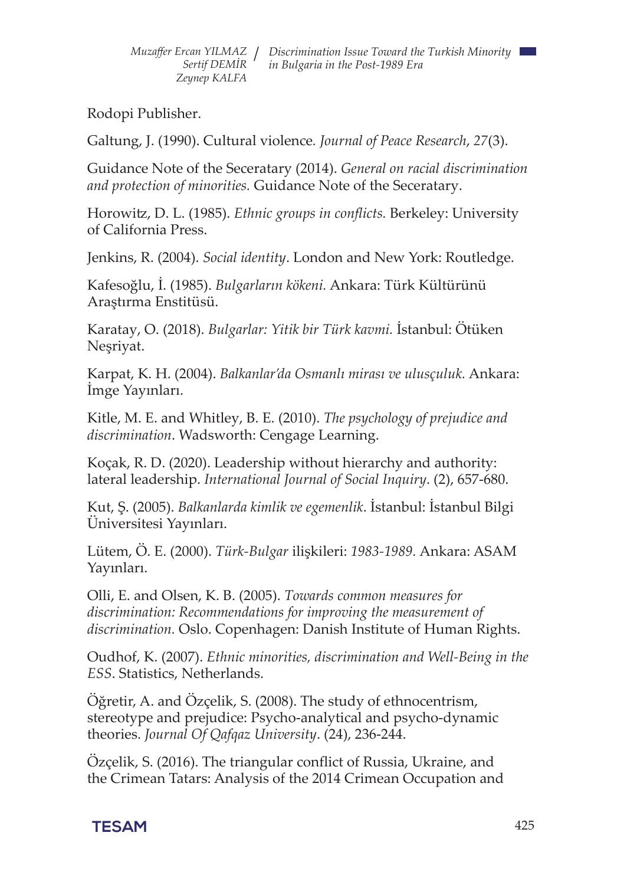Rodopi Publisher.

Galtung, J. (1990). Cultural violence*. Journal of Peace Research*, *27*(3).

Guidance Note of the Seceratary (2014). *General on racial discrimination and protection of minorities.* Guidance Note of the Seceratary.

Horowitz, D. L. (1985). *Ethnic groups in conflicts.* Berkeley: University of California Press.

Jenkins, R. (2004). *Social identity*. London and New York: Routledge.

Kafesoğlu, İ. (1985). *Bulgarların kökeni.* Ankara: Türk Kültürünü Araştırma Enstitüsü.

Karatay, O. (2018). *Bulgarlar: Yitik bir Türk kavmi.* İstanbul: Ötüken Neşriyat.

Karpat, K. H. (2004). *Balkanlar'da Osmanlı mirası ve ulusçuluk.* Ankara: İmge Yayınları.

Kitle, M. E. and Whitley, B. E. (2010). *The psychology of prejudice and discrimination*. Wadsworth: Cengage Learning.

Koçak, R. D. (2020). Leadership without hierarchy and authority: lateral leadership. *International Journal of Social Inquiry*. (2), 657-680.

Kut, Ş. (2005). *Balkanlarda kimlik ve egemenlik*. İstanbul: İstanbul Bilgi Üniversitesi Yayınları.

Lütem, Ö. E. (2000). *Türk-Bulgar* ilişkileri: *1983-1989.* Ankara: ASAM Yayınları.

Olli, E. and Olsen, K. B. (2005). *Towards common measures for discrimination: Recommendations for improving the measurement of discrimination.* Oslo. Copenhagen: Danish Institute of Human Rights.

Oudhof, K. (2007). *Ethnic minorities, discrimination and Well-Being in the ESS*. Statistics, Netherlands.

Öğretir, A. and Özçelik, S. (2008). The study of ethnocentrism, stereotype and prejudice: Psycho-analytical and psycho-dynamic theories. *Journal Of Qafqaz University*. (24), 236-244.

Özçelik, S. (2016). The triangular conflict of Russia, Ukraine, and the Crimean Tatars: Analysis of the 2014 Crimean Occupation and

## **TESAM** 425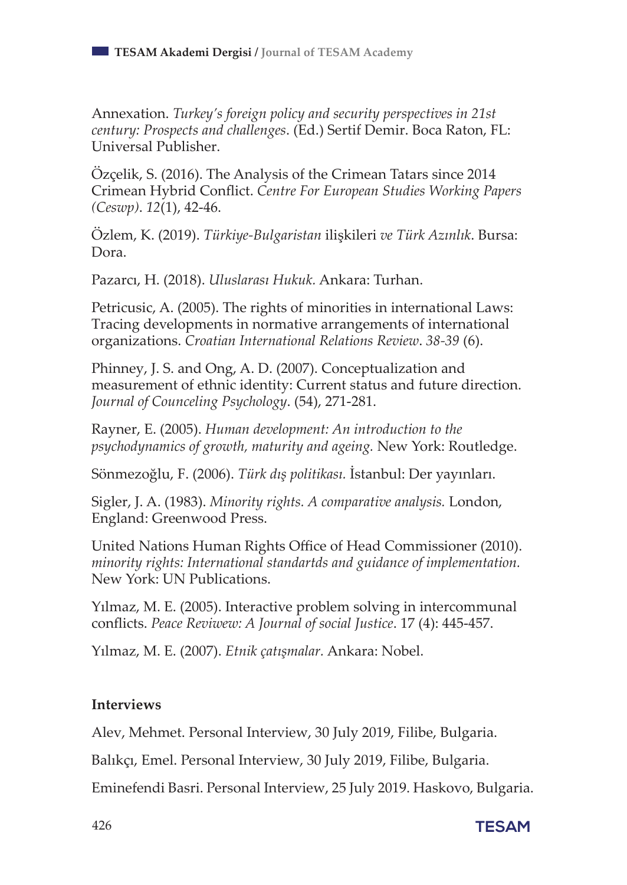Annexation. *Turkey's foreign policy and security perspectives in 21st century: Prospects and challenges*. (Ed.) Sertif Demir. Boca Raton, FL: Universal Publisher.

Özçelik, S. (2016). The Analysis of the Crimean Tatars since 2014 Crimean Hybrid Conflict. *Centre For European Studies Working Papers (Ceswp)*. *12*(1), 42-46.

Özlem, K. (2019). *Türkiye-Bulgaristan* ilişkileri *ve Türk Azınlık*. Bursa: Dora.

Pazarcı, H. (2018). *Uluslarası Hukuk.* Ankara: Turhan.

Petricusic, A. (2005). The rights of minorities in international Laws: Tracing developments in normative arrangements of international organizations. *Croatian International Relations Review*. *38-39* (6).

Phinney, J. S. and Ong, A. D. (2007). Conceptualization and measurement of ethnic identity: Current status and future direction. *Journal of Counceling Psychology*. (54), 271-281.

Rayner, E. (2005). *Human development: An introduction to the psychodynamics of growth, maturity and ageing.* New York: Routledge.

Sönmezoğlu, F. (2006). *Türk dış politikası.* İstanbul: Der yayınları.

Sigler, J. A. (1983). *Minority rights. A comparative analysis.* London, England: Greenwood Press.

United Nations Human Rights Office of Head Commissioner (2010). *minority rights: International standartds and guidance of implementation.* New York: UN Publications.

Yılmaz, M. E. (2005). Interactive problem solving in intercommunal conflicts. *Peace Reviwew: A Journal of social Justice*. 17 (4): 445-457.

Yılmaz, M. E. (2007). *Etnik çatışmalar.* Ankara: Nobel.

#### **Interviews**

Alev, Mehmet. Personal Interview, 30 July 2019, Filibe, Bulgaria.

Balıkçı, Emel. Personal Interview, 30 July 2019, Filibe, Bulgaria.

Eminefendi Basri. Personal Interview, 25 July 2019. Haskovo, Bulgaria.